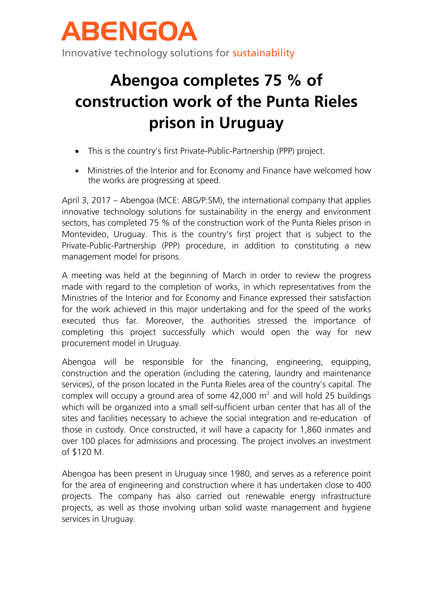

## **Abengoa completes 75 % of construction work of the Punta Rieles prison in Uruguay**

- This is the country's first Private-Public-Partnership (PPP) project.
- Ministries of the Interior and for Economy and Finance have welcomed how the works are progressing at speed.

April 3, 2017 – Abengoa (MCE: ABG/P:SM), the international company that applies innovative technology solutions for sustainability in the energy and environment sectors, has completed 75 % of the construction work of the Punta Rieles prison in Montevideo, Uruguay. This is the country's first project that is subject to the Private-Public-Partnership (PPP) procedure, in addition to constituting a new management model for prisons.

A meeting was held at the beginning of March in order to review the progress made with regard to the completion of works, in which representatives from the Ministries of the Interior and for Economy and Finance expressed their satisfaction for the work achieved in this major undertaking and for the speed of the works executed thus far. Moreover, the authorities stressed the importance of completing this project successfully which would open the way for new procurement model in Uruguay.

Abengoa will be responsible for the financing, engineering, equipping, construction and the operation (including the catering, laundry and maintenance services), of the prison located in the Punta Rieles area of the country's capital. The complex will occupy a ground area of some  $42,000$  m<sup>2</sup> and will hold 25 buildings which will be organized into a small self-sufficient urban center that has all of the sites and facilities necessary to achieve the social integration and re-education of those in custody. Once constructed, it will have a capacity for 1,860 inmates and over 100 places for admissions and processing. The project involves an investment of \$120 M.

Abengoa has been present in Uruguay since 1980, and serves as a reference point for the area of engineering and construction where it has undertaken close to 400 projects. The company has also carried out renewable energy infrastructure projects, as well as those involving urban solid waste management and hygiene services in Uruguay.